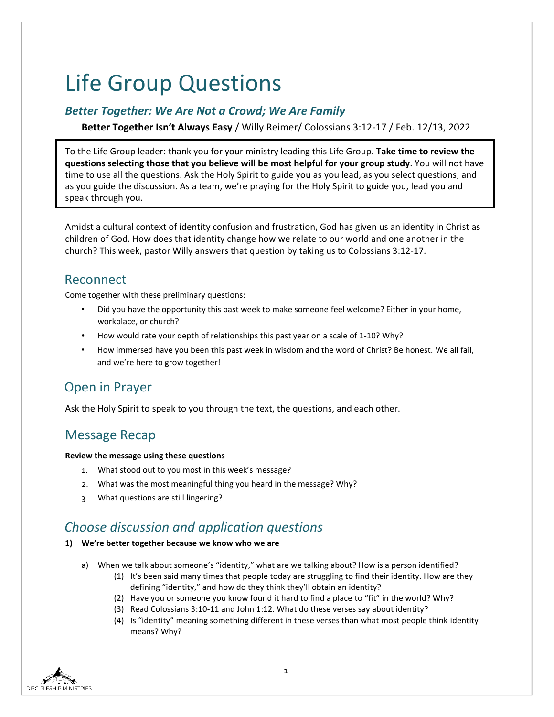# Life Group Questions

### *Better Together: We Are Not a Crowd; We Are Family*

**Better Together Isn't Always Easy** / Willy Reimer/ Colossians 3:12-17 / Feb. 12/13, 2022

To the Life Group leader: thank you for your ministry leading this Life Group. **Take time to review the questions selecting those that you believe will be most helpful for your group study**. You will not have time to use all the questions. Ask the Holy Spirit to guide you as you lead, as you select questions, and as you guide the discussion. As a team, we're praying for the Holy Spirit to guide you, lead you and speak through you.

Amidst a cultural context of identity confusion and frustration, God has given us an identity in Christ as children of God. How does that identity change how we relate to our world and one another in the church? This week, pastor Willy answers that question by taking us to Colossians 3:12-17.

### Reconnect

Come together with these preliminary questions:

- Did you have the opportunity this past week to make someone feel welcome? Either in your home, workplace, or church?
- How would rate your depth of relationships this past year on a scale of 1-10? Why?
- How immersed have you been this past week in wisdom and the word of Christ? Be honest. We all fail, and we're here to grow together!

# Open in Prayer

Ask the Holy Spirit to speak to you through the text, the questions, and each other.

### Message Recap

### **Review the message using these questions**

- 1. What stood out to you most in this week's message?
- 2. What was the most meaningful thing you heard in the message? Why?
- 3. What questions are still lingering?

# *Choose discussion and application questions*

### **1) We're better together because we know who we are**

- a) When we talk about someone's "identity," what are we talking about? How is a person identified?
	- (1) It's been said many times that people today are struggling to find their identity. How are they defining "identity," and how do they think they'll obtain an identity?
	- (2) Have you or someone you know found it hard to find a place to "fit" in the world? Why?
	- (3) Read Colossians 3:10-11 and John 1:12. What do these verses say about identity?
	- (4) Is "identity" meaning something different in these verses than what most people think identity means? Why?

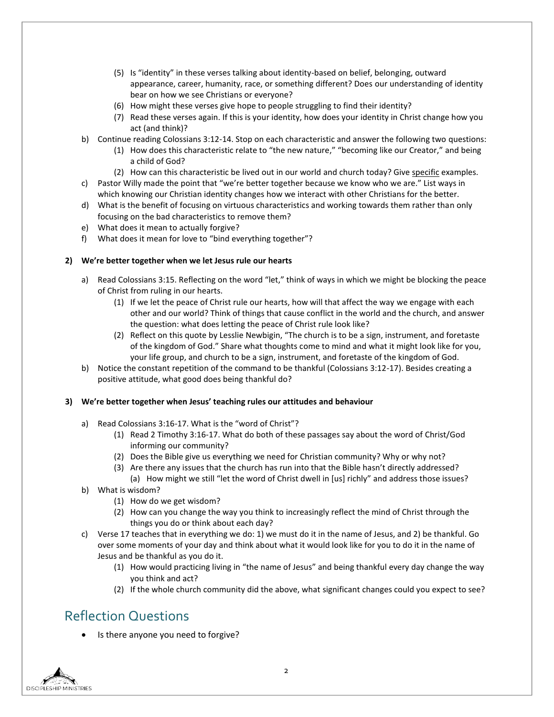- (5) Is "identity" in these verses talking about identity-based on belief, belonging, outward appearance, career, humanity, race, or something different? Does our understanding of identity bear on how we see Christians or everyone?
- (6) How might these verses give hope to people struggling to find their identity?
- (7) Read these verses again. If this is your identity, how does your identity in Christ change how you act (and think)?
- b) Continue reading Colossians 3:12-14. Stop on each characteristic and answer the following two questions:
	- (1) How does this characteristic relate to "the new nature," "becoming like our Creator," and being a child of God?
	- (2) How can this characteristic be lived out in our world and church today? Give specific examples.
- c) Pastor Willy made the point that "we're better together because we know who we are." List ways in which knowing our Christian identity changes how we interact with other Christians for the better.
- d) What is the benefit of focusing on virtuous characteristics and working towards them rather than only focusing on the bad characteristics to remove them?
- e) What does it mean to actually forgive?
- f) What does it mean for love to "bind everything together"?

#### **2) We're better together when we let Jesus rule our hearts**

- a) Read Colossians 3:15. Reflecting on the word "let," think of ways in which we might be blocking the peace of Christ from ruling in our hearts.
	- (1) If we let the peace of Christ rule our hearts, how will that affect the way we engage with each other and our world? Think of things that cause conflict in the world and the church, and answer the question: what does letting the peace of Christ rule look like?
	- (2) Reflect on this quote by Lesslie Newbigin, "The church is to be a sign, instrument, and foretaste of the kingdom of God." Share what thoughts come to mind and what it might look like for you, your life group, and church to be a sign, instrument, and foretaste of the kingdom of God.
- b) Notice the constant repetition of the command to be thankful (Colossians 3:12-17). Besides creating a positive attitude, what good does being thankful do?

#### **3) We're better together when Jesus' teaching rules our attitudes and behaviour**

- a) Read Colossians 3:16-17. What is the "word of Christ"?
	- (1) Read 2 Timothy 3:16-17. What do both of these passages say about the word of Christ/God informing our community?
	- (2) Does the Bible give us everything we need for Christian community? Why or why not?
	- (3) Are there any issues that the church has run into that the Bible hasn't directly addressed?
- (a) How might we still "let the word of Christ dwell in [us] richly" and address those issues? b) What is wisdom?
	- - (1) How do we get wisdom?
		- (2) How can you change the way you think to increasingly reflect the mind of Christ through the things you do or think about each day?
- c) Verse 17 teaches that in everything we do: 1) we must do it in the name of Jesus, and 2) be thankful. Go over some moments of your day and think about what it would look like for you to do it in the name of Jesus and be thankful as you do it.
	- (1) How would practicing living in "the name of Jesus" and being thankful every day change the way you think and act?
	- (2) If the whole church community did the above, what significant changes could you expect to see?

# Reflection Questions

Is there anyone you need to forgive?

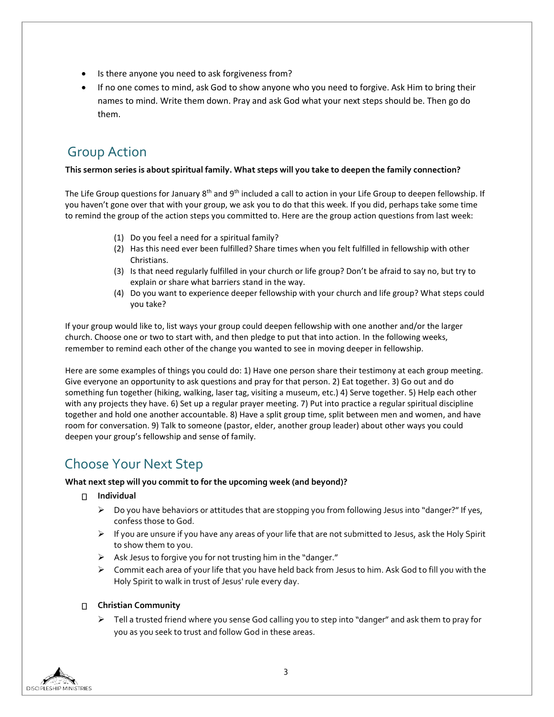- Is there anyone you need to ask forgiveness from?
- If no one comes to mind, ask God to show anyone who you need to forgive. Ask Him to bring their names to mind. Write them down. Pray and ask God what your next steps should be. Then go do them.

# Group Action

### **This sermon series is about spiritual family. What steps will you take to deepen the family connection?**

The Life Group questions for January 8<sup>th</sup> and 9<sup>th</sup> included a call to action in your Life Group to deepen fellowship. If you haven't gone over that with your group, we ask you to do that this week. If you did, perhaps take some time to remind the group of the action steps you committed to. Here are the group action questions from last week:

- (1) Do you feel a need for a spiritual family?
- (2) Has this need ever been fulfilled? Share times when you felt fulfilled in fellowship with other Christians.
- (3) Is that need regularly fulfilled in your church or life group? Don't be afraid to say no, but try to explain or share what barriers stand in the way.
- (4) Do you want to experience deeper fellowship with your church and life group? What steps could you take?

If your group would like to, list ways your group could deepen fellowship with one another and/or the larger church. Choose one or two to start with, and then pledge to put that into action. In the following weeks, remember to remind each other of the change you wanted to see in moving deeper in fellowship.

Here are some examples of things you could do: 1) Have one person share their testimony at each group meeting. Give everyone an opportunity to ask questions and pray for that person. 2) Eat together. 3) Go out and do something fun together (hiking, walking, laser tag, visiting a museum, etc.) 4) Serve together. 5) Help each other with any projects they have. 6) Set up a regular prayer meeting. 7) Put into practice a regular spiritual discipline together and hold one another accountable. 8) Have a split group time, split between men and women, and have room for conversation. 9) Talk to someone (pastor, elder, another group leader) about other ways you could deepen your group's fellowship and sense of family.

# Choose Your Next Step

### **What next step will you commit to for the upcoming week (and beyond)?**

- **Individual** 
	- Do you have behaviors or attitudes that are stopping you from following Jesus into "danger?" If yes, confess those to God.
	- $\triangleright$  If you are unsure if you have any areas of your life that are not submitted to Jesus, ask the Holy Spirit to show them to you.
	- $\triangleright$  Ask Jesus to forgive you for not trusting him in the "danger."
	- $\triangleright$  Commit each area of your life that you have held back from Jesus to him. Ask God to fill you with the Holy Spirit to walk in trust of Jesus' rule every day.

### **Christian Community**

 $\triangleright$  Tell a trusted friend where you sense God calling you to step into "danger" and ask them to pray for you as you seek to trust and follow God in these areas.